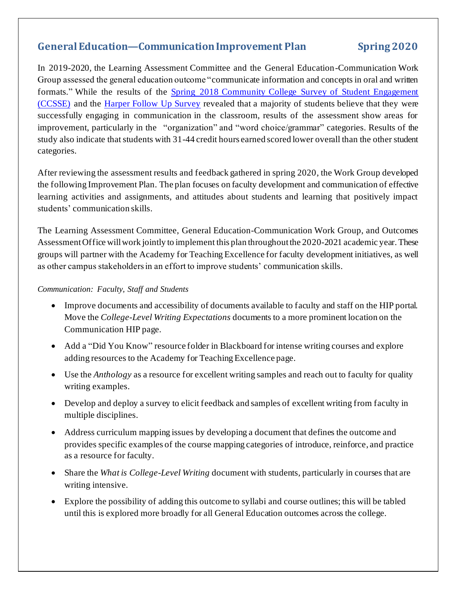## **General Education—CommunicationImprovement Plan Spring 2020**

In 2019-2020, the Learning Assessment Committee and the General Education-Communication Work Group assessed the general education outcome "communicate information and concepts in oral and written formats." While the results of the [Spring 2018 Community College Survey of Student Engagement](https://hipexternal.harpercollege.edu/ourcollege/IR/Pages/CCSSE-and-CCFSSE-REVISION.aspx)  [\(CCSSE\)](https://hipexternal.harpercollege.edu/ourcollege/IR/Pages/CCSSE-and-CCFSSE-REVISION.aspx) and the [Harper Follow Up Survey](https://hipexternal.harpercollege.edu/ourcollege/IR/Pages/Follow%20Up%20Survey.aspx) revealed that a majority of students believe that they were successfully engaging in communication in the classroom, results of the assessment show areas for improvement, particularly in the "organization" and "word choice/grammar" categories. Results of the study also indicate that students with 31-44 credit hours earned scored lower overall than the other student categories.

After reviewing the assessment results and feedback gathered in spring 2020, the Work Group developed the following Improvement Plan. The plan focuses on faculty development and communication of effective learning activities and assignments, and attitudes about students and learning that positively impact students' communication skills.

The Learning Assessment Committee, General Education-Communication Work Group, and Outcomes Assessment Office will work jointly to implement this plan throughout the 2020-2021 academic year. These groups will partner with the Academy for Teaching Excellence for faculty development initiatives, as well as other campus stakeholders in an effort to improve students' communication skills.

## *Communication: Faculty, Staff and Students*

- Improve documents and accessibility of documents available to faculty and staff on the HIP portal. Move the *College-Level Writing Expectations* documents to a more prominent location on the Communication HIP page.
- Add a "Did You Know" resource folder in Blackboard for intense writing courses and explore adding resources to the Academy for Teaching Excellence page.
- Use the *Anthology* as a resource for excellent writing samples and reach out to faculty for quality writing examples.
- Develop and deploy a survey to elicit feedback and samples of excellent writing from faculty in multiple disciplines.
- Address curriculum mapping issues by developing a document that defines the outcome and provides specific examples of the course mapping categories of introduce, reinforce, and practice as a resource for faculty.
- Share the *What is College-Level Writing* document with students, particularly in courses that are writing intensive.
- Explore the possibility of adding this outcome to syllabi and course outlines; this will be tabled until this is explored more broadly for all General Education outcomes across the college.

Last revision: Faon Grandinetti April 2018